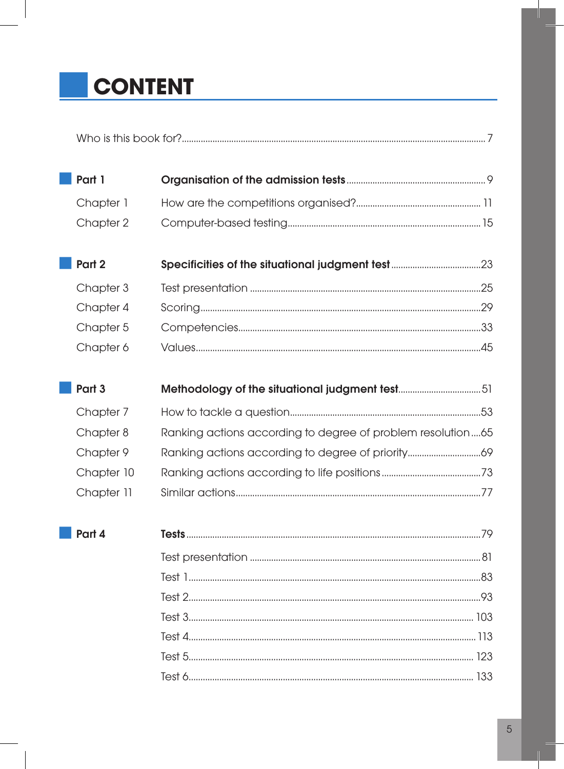# CONTENT

| Who is this book |  |
|------------------|--|
|                  |  |

| Part 1    |  |
|-----------|--|
| Chapter 1 |  |
| Chapter 2 |  |

| Part 2    |  |
|-----------|--|
| Chapter 3 |  |
| Chapter 4 |  |
| Chapter 5 |  |
|           |  |

| Part 3     |                                                             |  |
|------------|-------------------------------------------------------------|--|
| Chapter 7  |                                                             |  |
| Chapter 8  | Ranking actions according to degree of problem resolution65 |  |
| Chapter 9  |                                                             |  |
| Chapter 10 |                                                             |  |
| Chapter 11 |                                                             |  |

| . . |  |
|-----|--|
|-----|--|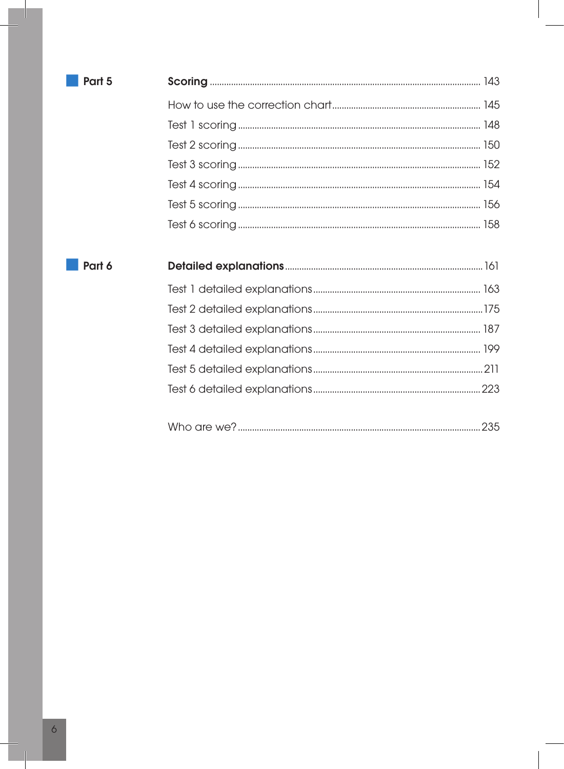| e e |  |
|-----|--|



| $\color{red}{\bullet} \color{red}{\bullet} \color{red}{\bullet} \color{red}{\bullet} \color{red}{\bullet} \color{red}{\bullet} \color{red}{\bullet} \color{red}{\bullet} \color{red}{\bullet} \color{red}{\bullet} \color{red}{\bullet} \color{red}{\bullet} \color{red}{\bullet} \color{red}{\bullet} \color{red}{\bullet} \color{red}{\bullet} \color{red}{\bullet} \color{red}{\bullet} \color{red}{\bullet} \color{red}{\bullet} \color{red}{\bullet} \color{red}{\bullet} \color{red}{\bullet} \color{red}{\bullet} \color{red}{\bullet} \color{red}{\bullet} \color{red}{\bullet} \color{red$ |  |  |  |  |  |
|-----------------------------------------------------------------------------------------------------------------------------------------------------------------------------------------------------------------------------------------------------------------------------------------------------------------------------------------------------------------------------------------------------------------------------------------------------------------------------------------------------------------------------------------------------------------------------------------------------|--|--|--|--|--|
|-----------------------------------------------------------------------------------------------------------------------------------------------------------------------------------------------------------------------------------------------------------------------------------------------------------------------------------------------------------------------------------------------------------------------------------------------------------------------------------------------------------------------------------------------------------------------------------------------------|--|--|--|--|--|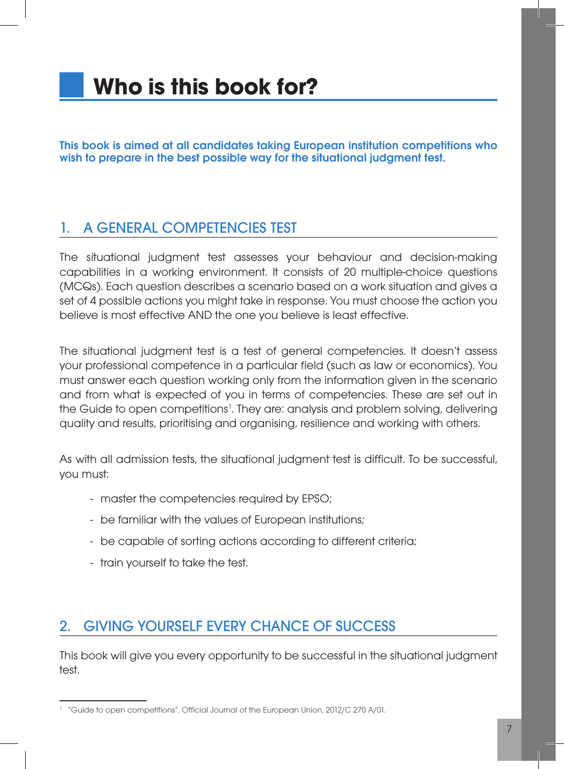## **Who is this book for?**

This book is aimed at all candidates taking European institution competitions who wish to prepare in the best possible way for the situational judgment test.

### 1. A general competencies test

The situational judgment test assesses your behaviour and decision-making capabilities in a working environment. It consists of 20 multiple-choice questions (MCQs). Each question describes a scenario based on a work situation and gives a set of 4 possible actions you might take in response. You must choose the action you believe is most effective AND the one you believe is least effective.

The situational judgment test is a test of general competencies. It doesn't assess your professional competence in a particular field (such as law or economics). You must answer each question working only from the information given in the scenario and from what is expected of you in terms of competencies. These are set out in the Guide to open competitions<sup>1</sup>. They are: analysis and problem solving, delivering quality and results, prioritising and organising, resilience and working with others.

As with all admission tests, the situational judgment test is difficult. To be successful, you must:

- master the competencies required by EPSO;
- be familiar with the values of European institutions;
- be capable of sorting actions according to different criteria;
- train yourself to take the test.

### 2. Giving yourself every chance of success

This book will give you every opportunity to be successful in the situational judgment test.

<sup>1</sup> "Guide to open competitions", Official Journal of the European Union, 2012/C 270 A/01.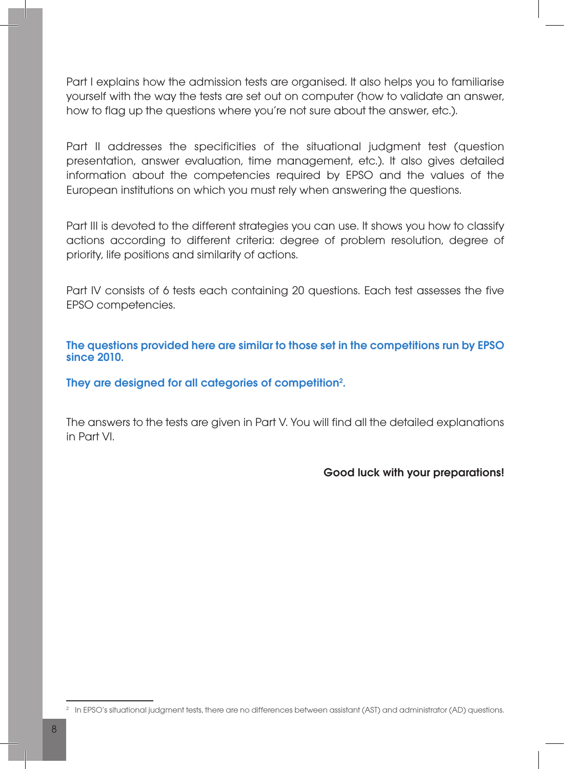Part I explains how the admission tests are organised. It also helps you to familiarise yourself with the way the tests are set out on computer (how to validate an answer, how to flag up the questions where you're not sure about the answer, etc.).

Part II addresses the specificities of the situational judgment test (question presentation, answer evaluation, time management, etc.). It also gives detailed information about the competencies required by EPSO and the values of the European institutions on which you must rely when answering the questions.

Part III is devoted to the different strategies you can use. It shows you how to classify actions according to different criteria: degree of problem resolution, degree of priority, life positions and similarity of actions.

Part IV consists of 6 tests each containing 20 questions. Each test assesses the five EPSO competencies.

The questions provided here are similar to those set in the competitions run by EPSO since 2010.

They are designed for all categories of competition<sup>2</sup>.

The answers to the tests are given in Part V. You will find all the detailed explanations in Part VI.

#### Good luck with your preparations!

<sup>2</sup> In EPSO's situational judgment tests, there are no differences between assistant (AST) and administrator (AD) questions.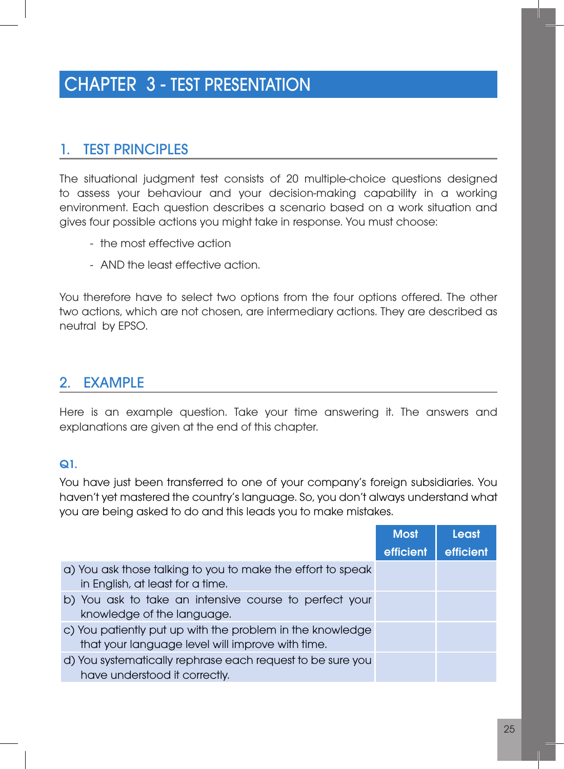## CHAPTER 3 - Test presentation

### 1. Test principles

The situational judgment test consists of 20 multiple-choice questions designed to assess your behaviour and your decision-making capability in a working environment. Each question describes a scenario based on a work situation and gives four possible actions you might take in response. You must choose:

- the most effective action
- AND the least effective action.

You therefore have to select two options from the four options offered. The other two actions, which are not chosen, are intermediary actions. They are described as neutral by EPSO.

#### 2. Example

Here is an example question. Take your time answering it. The answers and explanations are given at the end of this chapter.

#### $Q1$ .

You have just been transferred to one of your company's foreign subsidiaries. You haven't yet mastered the country's language. So, you don't always understand what you are being asked to do and this leads you to make mistakes.

|                                                                                                               | <b>Most</b> | Least     |
|---------------------------------------------------------------------------------------------------------------|-------------|-----------|
|                                                                                                               | efficient   | efficient |
| a) You ask those talking to you to make the effort to speak<br>in English, at least for a time.               |             |           |
| b) You ask to take an intensive course to perfect your<br>knowledge of the language.                          |             |           |
| c) You patiently put up with the problem in the knowledge<br>that your language level will improve with time. |             |           |
| d) You systematically rephrase each request to be sure you<br>have understood it correctly.                   |             |           |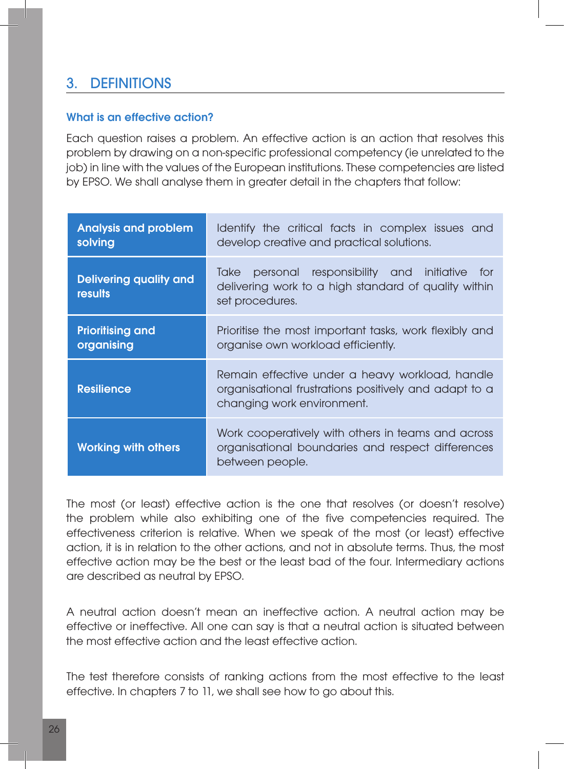### 3. Definitions

#### What is an effective action?

Each question raises a problem. An effective action is an action that resolves this problem by drawing on a non-specific professional competency (ie unrelated to the job) in line with the values of the European institutions. These competencies are listed by EPSO. We shall analyse them in greater detail in the chapters that follow:

| <b>Analysis and problem</b><br>solving   | Identify the critical facts in complex issues and<br>develop creative and practical solutions.                                         |  |
|------------------------------------------|----------------------------------------------------------------------------------------------------------------------------------------|--|
| <b>Delivering quality and</b><br>results | responsibility and initiative<br>Take<br>personal<br>for<br>delivering work to a high standard of quality within<br>set procedures.    |  |
| <b>Prioritising and</b><br>organising    | Prioritise the most important tasks, work flexibly and<br>organise own workload efficiently.                                           |  |
| <b>Resilience</b>                        | Remain effective under a heavy workload, handle<br>organisational frustrations positively and adapt to a<br>changing work environment. |  |
| <b>Working with others</b>               | Work cooperatively with others in teams and across<br>organisational boundaries and respect differences<br>between people.             |  |

The most (or least) effective action is the one that resolves (or doesn't resolve) the problem while also exhibiting one of the five competencies required. The effectiveness criterion is relative. When we speak of the most (or least) effective action, it is in relation to the other actions, and not in absolute terms. Thus, the most effective action may be the best or the least bad of the four. Intermediary actions are described as neutral by EPSO.

A neutral action doesn't mean an ineffective action. A neutral action may be effective or ineffective. All one can say is that a neutral action is situated between the most effective action and the least effective action.

The test therefore consists of ranking actions from the most effective to the least effective. In chapters 7 to 11, we shall see how to go about this.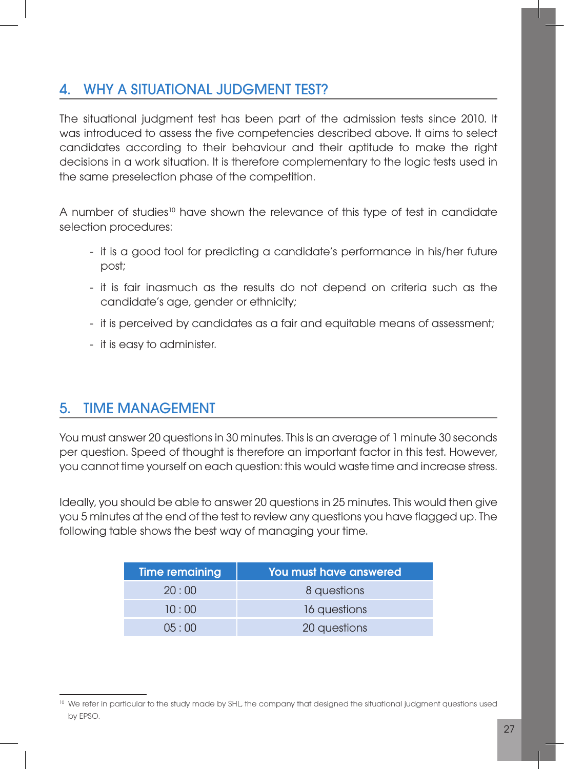### 4. Why a situational judgment test?

The situational judgment test has been part of the admission tests since 2010. It was introduced to assess the five competencies described above. It aims to select candidates according to their behaviour and their aptitude to make the right decisions in a work situation. It is therefore complementary to the logic tests used in the same preselection phase of the competition.

A number of studies<sup>10</sup> have shown the relevance of this type of test in candidate selection procedures:

- it is a good tool for predicting a candidate's performance in his/her future post;
- it is fair inasmuch as the results do not depend on criteria such as the candidate's age, gender or ethnicity;
- it is perceived by candidates as a fair and equitable means of assessment;
- it is easy to administer.

### 5. Time management

You must answer 20 questions in 30 minutes. This is an average of 1 minute 30 seconds per question. Speed of thought is therefore an important factor in this test. However, you cannot time yourself on each question: this would waste time and increase stress.

Ideally, you should be able to answer 20 questions in 25 minutes. This would then give you 5 minutes at the end of the test to review any questions you have flagged up. The following table shows the best way of managing your time.

| Time remaining | <b>You must have answered</b> |
|----------------|-------------------------------|
| 20:00          | 8 questions                   |
| 10:00          | 16 questions                  |
| 05:00          | 20 questions                  |

<sup>&</sup>lt;sup>10</sup> We refer in particular to the study made by SHL, the company that designed the situational judgment questions used by EPSO.